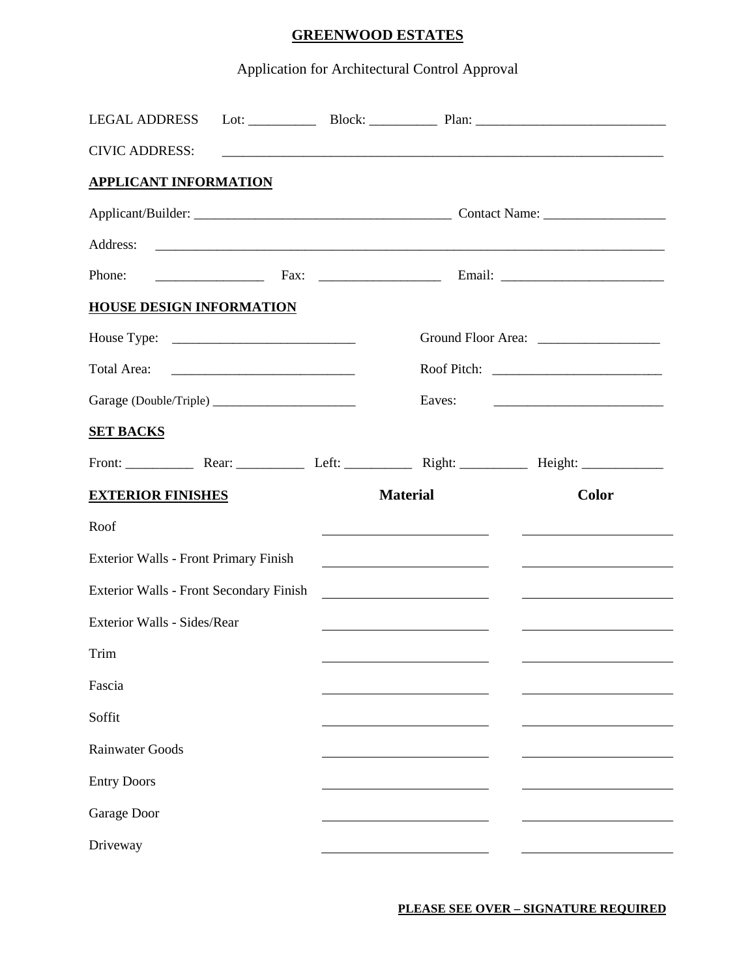## **GREENWOOD ESTATES**

## Application for Architectural Control Approval

| <b>LEGAL ADDRESS</b>                                                                                                                                                   |  |                                                                                                                                   |                                                                                                                             |  |
|------------------------------------------------------------------------------------------------------------------------------------------------------------------------|--|-----------------------------------------------------------------------------------------------------------------------------------|-----------------------------------------------------------------------------------------------------------------------------|--|
| <b>CIVIC ADDRESS:</b>                                                                                                                                                  |  |                                                                                                                                   |                                                                                                                             |  |
| <b>APPLICANT INFORMATION</b>                                                                                                                                           |  |                                                                                                                                   |                                                                                                                             |  |
|                                                                                                                                                                        |  |                                                                                                                                   |                                                                                                                             |  |
| Address:                                                                                                                                                               |  |                                                                                                                                   |                                                                                                                             |  |
| Phone:                                                                                                                                                                 |  |                                                                                                                                   |                                                                                                                             |  |
| <b>HOUSE DESIGN INFORMATION</b>                                                                                                                                        |  |                                                                                                                                   |                                                                                                                             |  |
|                                                                                                                                                                        |  |                                                                                                                                   |                                                                                                                             |  |
| Total Area:                                                                                                                                                            |  |                                                                                                                                   |                                                                                                                             |  |
|                                                                                                                                                                        |  | Eaves:<br><u> 2000 - Jan James James Jan James James Jan James James James James James James James James James James James Ja</u> |                                                                                                                             |  |
| <b>SET BACKS</b>                                                                                                                                                       |  |                                                                                                                                   |                                                                                                                             |  |
|                                                                                                                                                                        |  |                                                                                                                                   |                                                                                                                             |  |
| <b>EXTERIOR FINISHES</b>                                                                                                                                               |  | <b>Material</b>                                                                                                                   | <b>Color</b>                                                                                                                |  |
| Roof                                                                                                                                                                   |  | <u> 1980 - Jan Stein Stein Stein Stein Stein Stein Stein Stein Stein Stein Stein Stein Stein Stein Stein Stein S</u>              | <u> 1980 - Andrea Station Barbara, amerikan personal personal personal personal personal personal personal personal per</u> |  |
| <b>Exterior Walls - Front Primary Finish</b><br><u> 1989 - Johann Stoff, deutscher Stoffen und der Stoffen und der Stoffen und der Stoffen und der Stoffen und der</u> |  |                                                                                                                                   |                                                                                                                             |  |
| Exterior Walls - Front Secondary Finish                                                                                                                                |  |                                                                                                                                   |                                                                                                                             |  |
| Exterior Walls - Sides/Rear                                                                                                                                            |  | <u> 1989 - Johann Barn, fransk politik (d. 1989)</u>                                                                              |                                                                                                                             |  |
| Trim                                                                                                                                                                   |  |                                                                                                                                   |                                                                                                                             |  |
| Fascia                                                                                                                                                                 |  |                                                                                                                                   |                                                                                                                             |  |
| Soffit                                                                                                                                                                 |  |                                                                                                                                   |                                                                                                                             |  |
| <b>Rainwater Goods</b>                                                                                                                                                 |  |                                                                                                                                   |                                                                                                                             |  |
| <b>Entry Doors</b>                                                                                                                                                     |  |                                                                                                                                   |                                                                                                                             |  |
| Garage Door                                                                                                                                                            |  |                                                                                                                                   |                                                                                                                             |  |
| Driveway                                                                                                                                                               |  |                                                                                                                                   |                                                                                                                             |  |

**PLEASE SEE OVER – SIGNATURE REQUIRED**